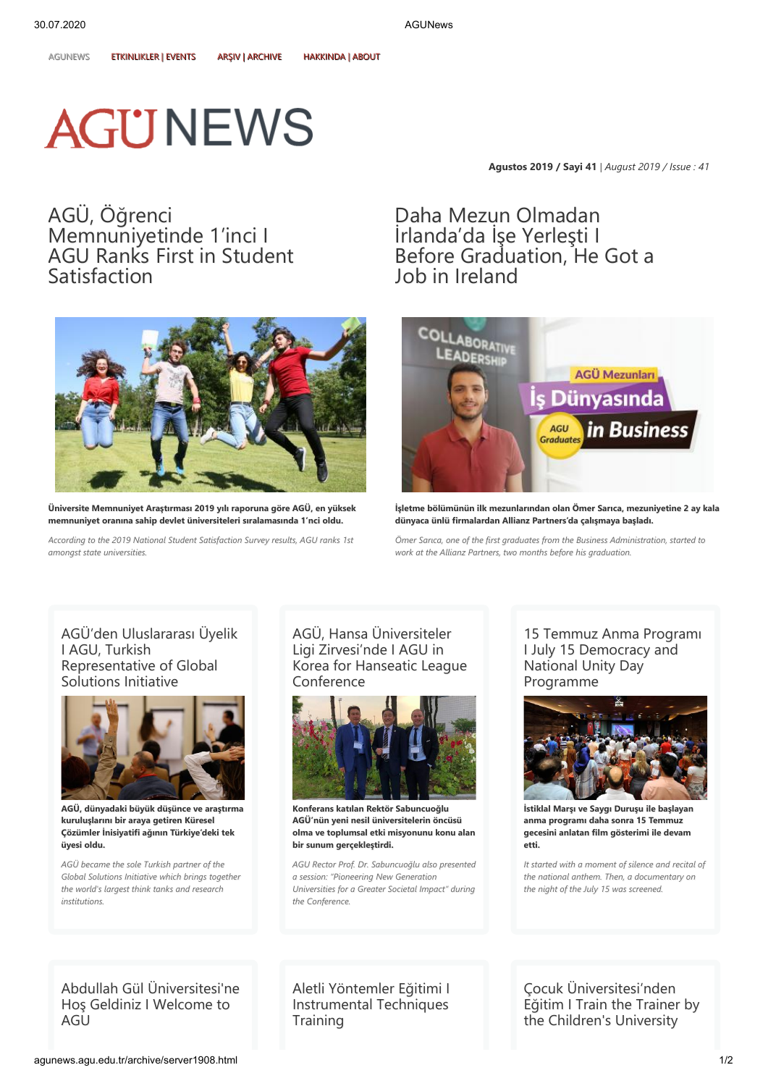## **AGUNEWS**

**Agustos 2019 / Sayi 41** | *August 2019 / Issue : 41*

AGÜ, Öğrenci [Memnuniyetinde](http://agunews.agu.edu.tr/node/349) 1'inci I AGU Ranks First in Student Satisfaction



**Üniv Üniverersit site Memnuniy e Memnuniyet Araştır et Araştırması 2019 yılı rapor ması 2019 yılı raporuna gör una göre Ae AGÜ, en yüksek GÜ, en yüksek memnuniy memnuniyet oranına sahip devlet üniv et oranına sahip devlet üniverersit siteler eleri sıralamasında 1'nci oldu. i sıralamasında 1'nci oldu.**

*According to the 2019 National Student Satisfaction Survey results, AGU ranks 1st amongst state universities.*

Daha Mezun Olmadan İrlanda'da İşe Yerleşti I Before [Graduation,](http://agunews.agu.edu.tr/node/354) He Got a Job in Ireland



**İşletme bölümünün ilk mezunlarından olan Ömer Sarıca, mezuniyetine 2 ay kala dünyaca ünlü fir dünyaca firmalar malardan Allianz P dan Allianz Parartner tners's'da çalışmaya b da çalışmaya başladı. aşladı.**

*Ömer Sarıca, one of the first graduates from the Business Administration, started to work at the Allianz Partners, two months before his graduation.*

[AGÜ'den Uluslararası Üyelik](http://agunews.agu.edu.tr/node/352) I AGU, Turkish Representative of Global Solutions Initiative



**AGÜ, dünyadaki büyük düşünce ve araştırma kuruluşlarını bir araya getiren Küresel Çözümler İnisiyatifi ağının Türkiye'deki tek üyesi oldu.**

*AGÜ became the sole Turkish partner of the Global Solutions Initiative which brings together the world's largest think tanks and research institutions.*

AGÜ, Hansa Üniversiteler Ligi Zirvesi'nde I AGU in [Korea for Hanseatic League](http://agunews.agu.edu.tr/node/356) Conference



**Konferans katılan Rektör Sabuncuoğlu AAGÜ'nün y GÜ'nün yeni nesil üniv eni nesil üniverersit siteler elerin öncüsü in öncüsü olma ve toplumsal etki misyonunu konu alan bir sunum gerçekleştirdi.**

*AGU Rector Prof. Dr. Sabuncuoğlu also presented a session: "Pioneering New Generation Universities for a Greater Societal Impact" during the Conference.*

[15 Temmuz Anma Programı](http://agunews.agu.edu.tr/node/351) I July 15 Democracy and National Unity Day Programme



**İstiklal Mar İstiklal Marşı v şı ve Say e Saygı Dur gı Duruşu ile b uşu ile başlayan aşlayan anma programı daha sonra 15 Temmuz gecesini anlatan film gösterimi ile devam etti.**

*It started with a moment of silence and recital of the national anthem. Then, a documentary on the night of the July 15 was screened.*

[Abdullah Gül Üniversitesi'ne](http://agunews.agu.edu.tr/node/350) Hoş Geldiniz I Welcome to AGU

[Aletli Yöntemler Eğitimi I](http://agunews.agu.edu.tr/node/353) Instrumental Techniques **Training** 

Çocuk Üniversitesi'nden [Eğitim I Train the Trainer by](http://agunews.agu.edu.tr/node/355) the Children's University